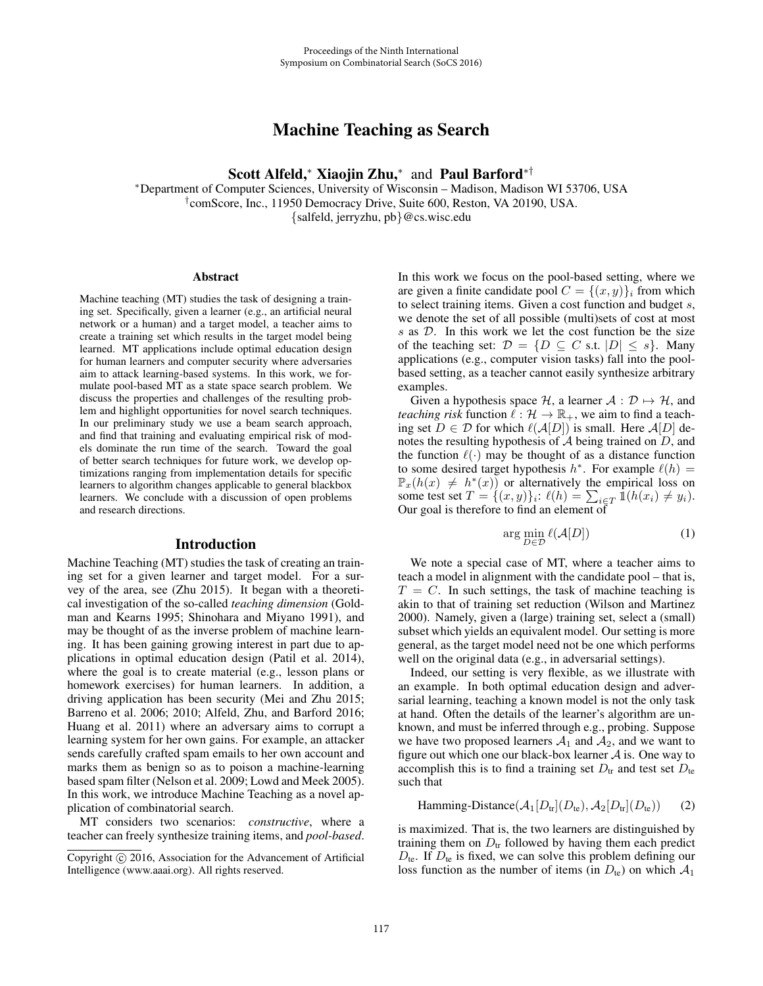# Machine Teaching as Search

Scott Alfeld,<sup>∗</sup> Xiaojin Zhu,<sup>∗</sup> and Paul Barford∗†

∗Department of Computer Sciences, University of Wisconsin – Madison, Madison WI 53706, USA †comScore, Inc., 11950 Democracy Drive, Suite 600, Reston, VA 20190, USA.

{salfeld, jerryzhu, pb}@cs.wisc.edu

#### Abstract

Machine teaching (MT) studies the task of designing a training set. Specifically, given a learner (e.g., an artificial neural network or a human) and a target model, a teacher aims to create a training set which results in the target model being learned. MT applications include optimal education design for human learners and computer security where adversaries aim to attack learning-based systems. In this work, we formulate pool-based MT as a state space search problem. We discuss the properties and challenges of the resulting problem and highlight opportunities for novel search techniques. In our preliminary study we use a beam search approach, and find that training and evaluating empirical risk of models dominate the run time of the search. Toward the goal of better search techniques for future work, we develop optimizations ranging from implementation details for specific learners to algorithm changes applicable to general blackbox learners. We conclude with a discussion of open problems and research directions.

#### Introduction

Machine Teaching (MT) studies the task of creating an training set for a given learner and target model. For a survey of the area, see (Zhu 2015). It began with a theoretical investigation of the so-called *teaching dimension* (Goldman and Kearns 1995; Shinohara and Miyano 1991), and may be thought of as the inverse problem of machine learning. It has been gaining growing interest in part due to applications in optimal education design (Patil et al. 2014), where the goal is to create material (e.g., lesson plans or homework exercises) for human learners. In addition, a driving application has been security (Mei and Zhu 2015; Barreno et al. 2006; 2010; Alfeld, Zhu, and Barford 2016; Huang et al. 2011) where an adversary aims to corrupt a learning system for her own gains. For example, an attacker sends carefully crafted spam emails to her own account and marks them as benign so as to poison a machine-learning based spam filter (Nelson et al. 2009; Lowd and Meek 2005). In this work, we introduce Machine Teaching as a novel application of combinatorial search.

MT considers two scenarios: *constructive*, where a teacher can freely synthesize training items, and *pool-based*. In this work we focus on the pool-based setting, where we are given a finite candidate pool  $C = \{(x, y)\}\$ i from which to select training items. Given a cost function and budget s, we denote the set of all possible (multi)sets of cost at most <sup>s</sup> as <sup>D</sup>. In this work we let the cost function be the size of the teaching set:  $\mathcal{D} = \{D \subseteq C \text{ s.t. } |D| \leq s\}.$  Many applications (e.g., computer vision tasks) fall into the poolbased setting, as a teacher cannot easily synthesize arbitrary examples.

Given a hypothesis space H, a learner  $A : \mathcal{D} \mapsto \mathcal{H}$ , and *teaching risk* function  $\hat{\ell}: \mathcal{H} \to \mathbb{R}_+$ , we aim to find a teach-<br>ing set  $D \in \mathcal{D}$  for which  $\ell(A[D])$  is small. Here  $A[D]$  deing set  $D \in \mathcal{D}$  for which  $\ell(A[D])$  is small. Here  $A[D]$  denotes the resulting hypothesis of A being trained on D and notes the resulting hypothesis of  $A$  being trained on  $D$ , and the function  $\ell(\cdot)$  may be thought of as a distance function<br>to some desired target hypothesis  $h^*$ . For example  $\ell(h)$  = to some desired target hypothesis  $h^*$ . For example  $\ell(h) =$ <br> $\mathbb{P}_+(h(x) \neq h^*(x))$  or alternatively the empirical loss on  $\mathbb{P}_x(h(x) \neq h^*(x))$  or alternatively the empirical loss on some test set  $T = \{(x, y)\}_i$ :  $\ell(h) = \sum_{i \in T} \mathbb{1}(h(x_i) \neq y_i)$ .<br>Our goal is therefore to find an element of

$$
\arg\min_{D\in\mathcal{D}}\ell(\mathcal{A}[D])\tag{1}
$$

We note a special case of MT, where a teacher aims to teach a model in alignment with the candidate pool – that is,  $T = C$ . In such settings, the task of machine teaching is akin to that of training set reduction (Wilson and Martinez 2000). Namely, given a (large) training set, select a (small) subset which yields an equivalent model. Our setting is more general, as the target model need not be one which performs well on the original data (e.g., in adversarial settings).

Indeed, our setting is very flexible, as we illustrate with an example. In both optimal education design and adversarial learning, teaching a known model is not the only task at hand. Often the details of the learner's algorithm are unknown, and must be inferred through e.g., probing. Suppose we have two proposed learners  $A_1$  and  $A_2$ , and we want to figure out which one our black-box learner  $A$  is. One way to accomplish this is to find a training set  $D_{tr}$  and test set  $D_{te}$ such that

Hamming-Distance( $A_1[D_{tr}](D_{te}), A_2[D_{tr}](D_{te})$ ) (2)

is maximized. That is, the two learners are distinguished by training them on  $D_{tr}$  followed by having them each predict  $D_{\text{te}}$ . If  $D_{\text{te}}$  is fixed, we can solve this problem defining our loss function as the number of items (in  $D_{te}$ ) on which  $A_1$ 

Copyright  $\odot$  2016, Association for the Advancement of Artificial Intelligence (www.aaai.org). All rights reserved.